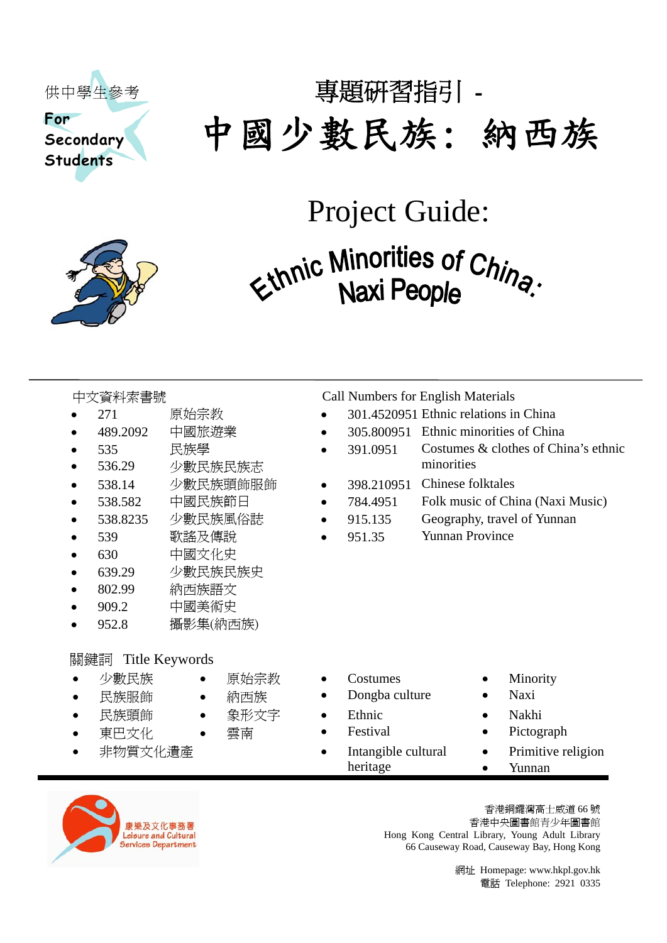

# 專題研習指引 - 中國少數民族: 納西族

## Project Guide:

# Ethnic Minorities of China.

- 
- 
- 535 民族學
- 536.29 少數民族民族志
- 
- 
- 
- 
- 630 中國文化史
- 639.29 少數民族民族史
- 802.99 納西族語文
- 909.2 中國美術史
- 952.8 攝影集(納西族)

• 原始宗教 • 納西族

• 象形文字 • 雲南

#### **關鍵詞 Title Keywords**

- 少數民族
- 民族服飾
- 民族頭飾
- 東巴文化
- 

中文資料索書號 Call Numbers for English Materials

- 271 原始宗教 301.4520951 Ethnic relations in China
- 489.2092 中國旅遊業 305.800951 Ethnic minorities of China
	- 391.0951 Costumes & clothes of China's ethnic minorities
- 538.14 少數民族頭飾服飾 398.210951 Chinese folktales
- 538.582 中國民族節日 784.4951 Folk music of China (Naxi Music)
- 538.8235 少數民族風俗誌 915.135 Geography, travel of Yunnan
- 539 歌謠及傳說 951.35 Yunnan Province

- Costumes
- Dongba culture
- **Ethnic**
- **Festival**
- 非物質文化遺產 Intangible cultural heritage
- **Minority**
- Naxi
- Nakhi
- Pictograph
- Primitive religion • Yunnan



香港銅鑼灣高士威道 66 號 香港中央圖書館青少年圖書館 Hong Kong Central Library, Young Adult Library 66 Causeway Road, Causeway Bay, Hong Kong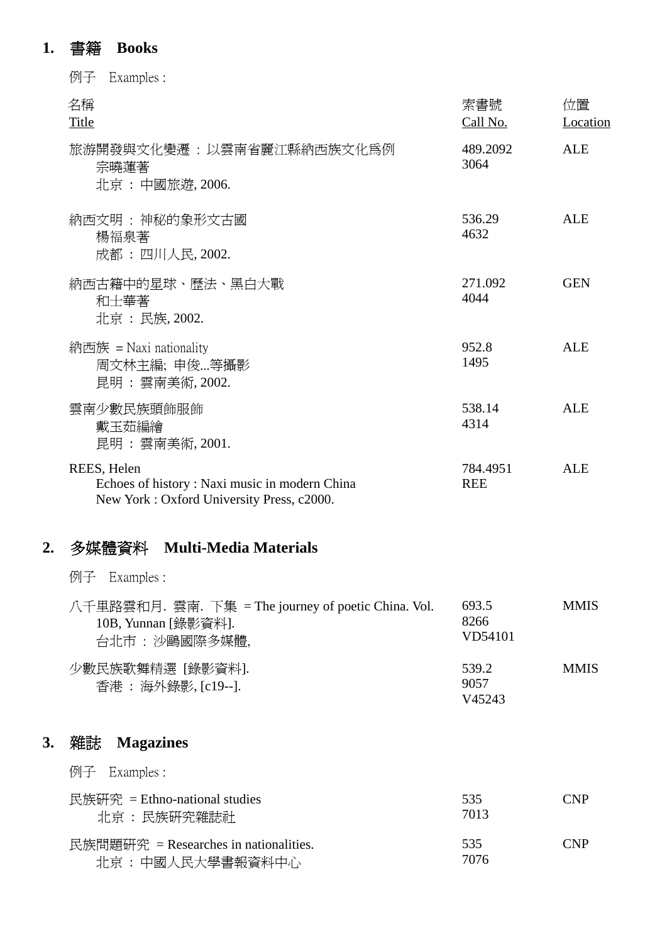## **1.** 書籍 **Books**

|    | Examples :<br>例子                                                                                          |                          |                |
|----|-----------------------------------------------------------------------------------------------------------|--------------------------|----------------|
|    | 名稱<br>Title                                                                                               | 索書號<br>Call No.          | 位置<br>Location |
|    | 旅游開發與文化變遷 : 以雲南省麗江縣納西族文化爲例<br>宗曉蓮著<br>北京 : 中國旅遊, 2006.                                                    | 489.2092<br>3064         | <b>ALE</b>     |
|    | 納西文明 : 神秘的象形文古國<br>楊福泉著<br>成都: 四川人民, 2002.                                                                | 536.29<br>4632           | <b>ALE</b>     |
|    | 納西古籍中的星球、歷法、黑白大戰<br>和士華著<br>北京: 民族, 2002.                                                                 | 271.092<br>4044          | <b>GEN</b>     |
|    | 納西族 = Naxi nationality<br>周文林主編; 申俊…等攝影<br>昆明:雲南美術, 2002.                                                 | 952.8<br>1495            | <b>ALE</b>     |
|    | 雲南少數民族頭飾服飾<br>戴玉茹編繪<br>昆明:雲南美術, 2001.                                                                     | 538.14<br>4314           | <b>ALE</b>     |
|    | REES, Helen<br>Echoes of history: Naxi music in modern China<br>New York: Oxford University Press, c2000. | 784.4951<br><b>REE</b>   | <b>ALE</b>     |
| 2. | 多媒體資料 Multi-Media Materials                                                                               |                          |                |
|    | 例子<br>Examples :                                                                                          |                          |                |
|    | 八千里路雲和月. 雲南. 下集 = The journey of poetic China. Vol.<br>10B, Yunnan [錄影資料].<br>台北市 : 沙鷗國際多媒體,              | 693.5<br>8266<br>VD54101 | <b>MMIS</b>    |
|    | 少數民族歌舞精選 [錄影資料].<br>香港 : 海外錄影, [c19--].                                                                   | 539.2<br>9057<br>V45243  | <b>MMIS</b>    |
| 3. | <b>Magazines</b><br>雜誌                                                                                    |                          |                |
|    | Examples :<br>例子                                                                                          |                          |                |
|    | 民族研究 = Ethno-national studies<br>北京 : 民族研究雜誌社                                                             | 535<br>7013              | <b>CNP</b>     |
|    | 民族問題硏究 = Researches in nationalities.<br>北京: 中國人民大學書報資料中心                                                 | 535<br>7076              | <b>CNP</b>     |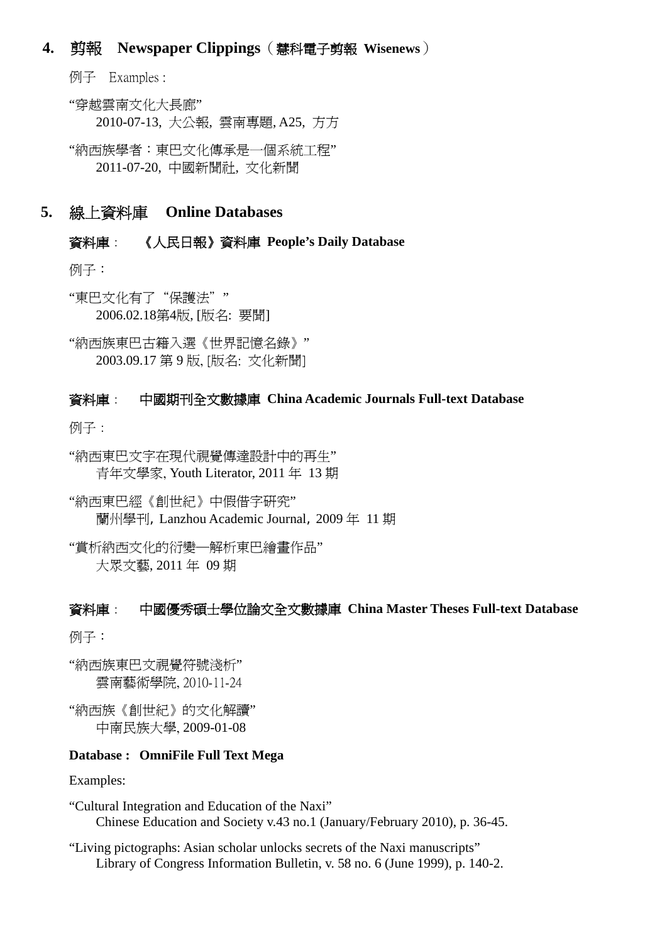#### **4.** 剪報 **Newspaper Clippings**(慧科電子剪報 **Wisenews**)

例子 Examples :

"穿越雲南文化大長廊" 2010-07-13, 大公報, 雲南專題, A25, 方方

"納西族學者:東巴文化傳承是一個系統工程" 2011-07-20, 中國新聞社, 文化新聞

#### **5.** 線上資料庫 **Online Databases**

#### 資料庫: 《人民日報》資料庫 **People's Daily Database**

例子:

"東巴文化有了"保護法"" 2006.02.18第4版, [版名: 要聞]

"納西族東巴古籍入選《世界記憶名錄》" 2003.09.17 第 9 版, [版名: 文化新聞]

#### 資料庫: 中國期刊全文數據庫 **China Academic Journals Full-text Database**

例子:

"納西東巴文字在現代視覺傳達設計中的再生" 青年文學家, Youth Literator, 2011 年 13 期

"納西東巴經《創世紀》中假借字研究" 蘭州學刊, Lanzhou Academic Journal, 2009 年 11 期

"賞析納西文化的衍變─解析東巴繪畫作品" 大眾文藝, 2011 年 09 期

#### 資料庫: 中國優秀碩士學位論文全文數據庫 **China Master Theses Full-text Database**

例子:

"納西族東巴文視覺符號淺析" 雲南藝術學院, 2010-11-24

"納西族《創世紀》的文化解讀" 中南民族大學, 2009-01-08

#### **Database : OmniFile Full Text Mega**

Examples:

"Cultural Integration and Education of the Naxi" Chinese Education and Society v.43 no.1 (January/February 2010), p. 36-45.

"Living pictographs: Asian scholar unlocks secrets of the Naxi manuscripts" Library of Congress Information Bulletin, v. 58 no. 6 (June 1999), p. 140-2.